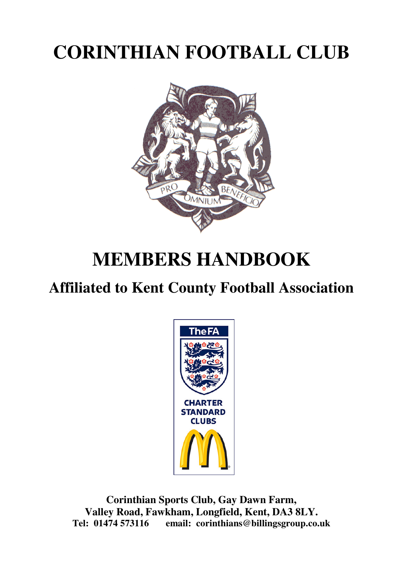# **CORINTHIAN FOOTBALL CLUB**



# **MEMBERS HANDBOOK**

# **Affiliated to Kent County Football Association**



**Corinthian Sports Club, Gay Dawn Farm, Valley Road, Fawkham, Longfield, Kent, DA3 8LY. Tel: 01474 573116 email: corinthians@billingsgroup.co.uk**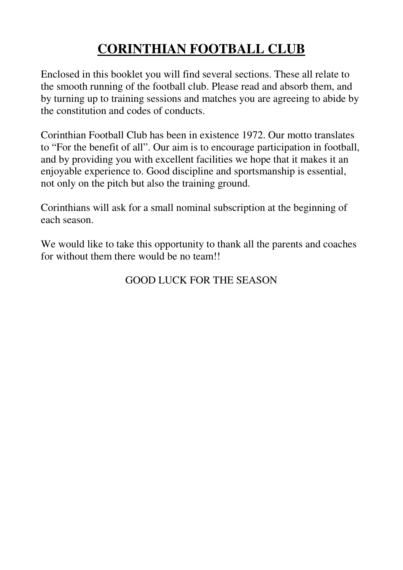# **CORINTHIAN FOOTBALL CLUB**

Enclosed in this booklet you will find several sections. These all relate to the smooth running of the football club. Please read and absorb them, and by turning up to training sessions and matches you are agreeing to abide by the constitution and codes of conducts.

Corinthian Football Club has been in existence 1972. Our motto translates to "For the benefit of all". Our aim is to encourage participation in football, and by providing you with excellent facilities we hope that it makes it an enjoyable experience to. Good discipline and sportsmanship is essential, not only on the pitch but also the training ground.

Corinthians will ask for a small nominal subscription at the beginning of each season.

We would like to take this opportunity to thank all the parents and coaches for without them there would be no team!!

### GOOD LUCK FOR THE SEASON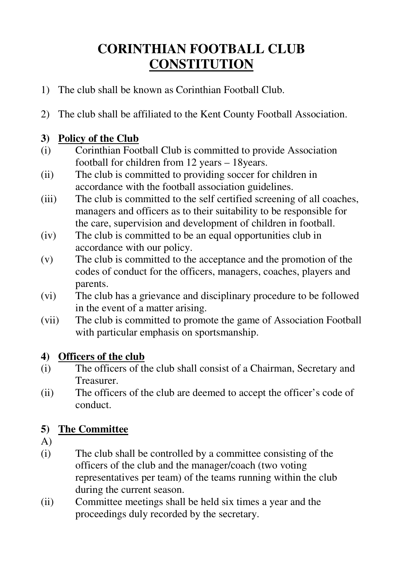# **CORINTHIAN FOOTBALL CLUB CONSTITUTION**

- 1) The club shall be known as Corinthian Football Club.
- 2) The club shall be affiliated to the Kent County Football Association.

#### **3) Policy of the Club**

- (i) Corinthian Football Club is committed to provide Association football for children from 12 years – 18years.
- (ii) The club is committed to providing soccer for children in accordance with the football association guidelines.
- (iii) The club is committed to the self certified screening of all coaches, managers and officers as to their suitability to be responsible for the care, supervision and development of children in football.
- (iv) The club is committed to be an equal opportunities club in accordance with our policy.
- (v) The club is committed to the acceptance and the promotion of the codes of conduct for the officers, managers, coaches, players and parents.
- (vi) The club has a grievance and disciplinary procedure to be followed in the event of a matter arising.
- (vii) The club is committed to promote the game of Association Football with particular emphasis on sportsmanship.

#### **4) Officers of the club**

- (i) The officers of the club shall consist of a Chairman, Secretary and Treasurer.
- (ii) The officers of the club are deemed to accept the officer's code of conduct.

### **5) The Committee**

- A)
- (i) The club shall be controlled by a committee consisting of the officers of the club and the manager/coach (two voting representatives per team) of the teams running within the club during the current season.
- (ii) Committee meetings shall be held six times a year and the proceedings duly recorded by the secretary.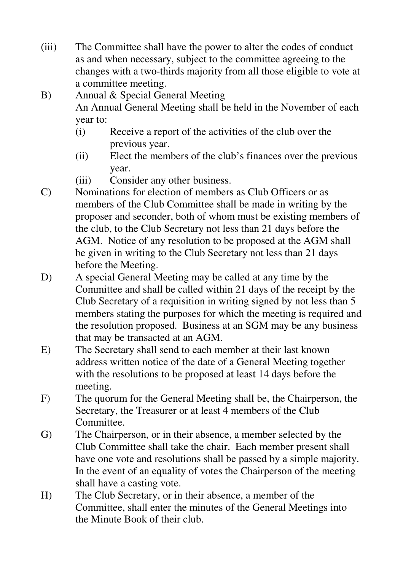- (iii) The Committee shall have the power to alter the codes of conduct as and when necessary, subject to the committee agreeing to the changes with a two-thirds majority from all those eligible to vote at a committee meeting.
- B) Annual & Special General Meeting An Annual General Meeting shall be held in the November of each year to:
	- (i) Receive a report of the activities of the club over the previous year.
	- (ii) Elect the members of the club's finances over the previous year.
	- (iii) Consider any other business.
- C) Nominations for election of members as Club Officers or as members of the Club Committee shall be made in writing by the proposer and seconder, both of whom must be existing members of the club, to the Club Secretary not less than 21 days before the AGM. Notice of any resolution to be proposed at the AGM shall be given in writing to the Club Secretary not less than 21 days before the Meeting.
- D) A special General Meeting may be called at any time by the Committee and shall be called within 21 days of the receipt by the Club Secretary of a requisition in writing signed by not less than 5 members stating the purposes for which the meeting is required and the resolution proposed. Business at an SGM may be any business that may be transacted at an AGM.
- E) The Secretary shall send to each member at their last known address written notice of the date of a General Meeting together with the resolutions to be proposed at least 14 days before the meeting.
- F) The quorum for the General Meeting shall be, the Chairperson, the Secretary, the Treasurer or at least 4 members of the Club Committee.
- G) The Chairperson, or in their absence, a member selected by the Club Committee shall take the chair. Each member present shall have one vote and resolutions shall be passed by a simple majority. In the event of an equality of votes the Chairperson of the meeting shall have a casting vote.
- H) The Club Secretary, or in their absence, a member of the Committee, shall enter the minutes of the General Meetings into the Minute Book of their club.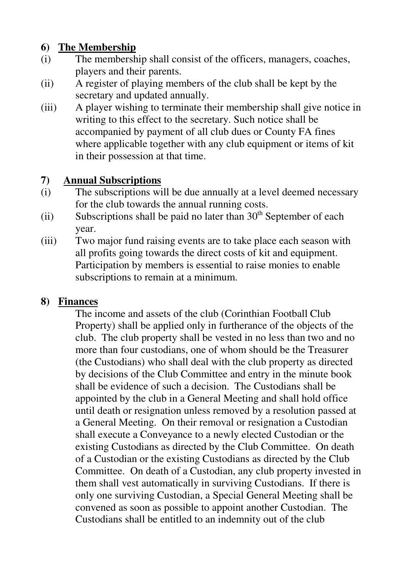#### **6) The Membership**

- (i) The membership shall consist of the officers, managers, coaches, players and their parents.
- (ii) A register of playing members of the club shall be kept by the secretary and updated annually.
- (iii) A player wishing to terminate their membership shall give notice in writing to this effect to the secretary. Such notice shall be accompanied by payment of all club dues or County FA fines where applicable together with any club equipment or items of kit in their possession at that time.

#### **7) Annual Subscriptions**

- (i) The subscriptions will be due annually at a level deemed necessary for the club towards the annual running costs.
- (ii) Subscriptions shall be paid no later than  $30<sup>th</sup>$  September of each year.
- (iii) Two major fund raising events are to take place each season with all profits going towards the direct costs of kit and equipment. Participation by members is essential to raise monies to enable subscriptions to remain at a minimum.

### **8) Finances**

The income and assets of the club (Corinthian Football Club Property) shall be applied only in furtherance of the objects of the club. The club property shall be vested in no less than two and no more than four custodians, one of whom should be the Treasurer (the Custodians) who shall deal with the club property as directed by decisions of the Club Committee and entry in the minute book shall be evidence of such a decision. The Custodians shall be appointed by the club in a General Meeting and shall hold office until death or resignation unless removed by a resolution passed at a General Meeting. On their removal or resignation a Custodian shall execute a Conveyance to a newly elected Custodian or the existing Custodians as directed by the Club Committee. On death of a Custodian or the existing Custodians as directed by the Club Committee. On death of a Custodian, any club property invested in them shall vest automatically in surviving Custodians. If there is only one surviving Custodian, a Special General Meeting shall be convened as soon as possible to appoint another Custodian. The Custodians shall be entitled to an indemnity out of the club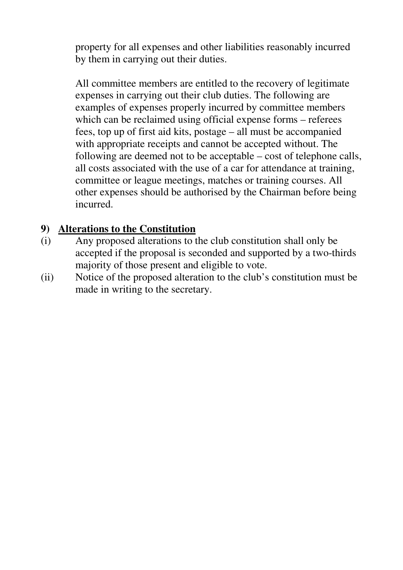property for all expenses and other liabilities reasonably incurred by them in carrying out their duties.

All committee members are entitled to the recovery of legitimate expenses in carrying out their club duties. The following are examples of expenses properly incurred by committee members which can be reclaimed using official expense forms – referees fees, top up of first aid kits, postage – all must be accompanied with appropriate receipts and cannot be accepted without. The following are deemed not to be acceptable – cost of telephone calls, all costs associated with the use of a car for attendance at training, committee or league meetings, matches or training courses. All other expenses should be authorised by the Chairman before being incurred.

#### **9) Alterations to the Constitution**

- (i) Any proposed alterations to the club constitution shall only be accepted if the proposal is seconded and supported by a two-thirds majority of those present and eligible to vote.
- (ii) Notice of the proposed alteration to the club's constitution must be made in writing to the secretary.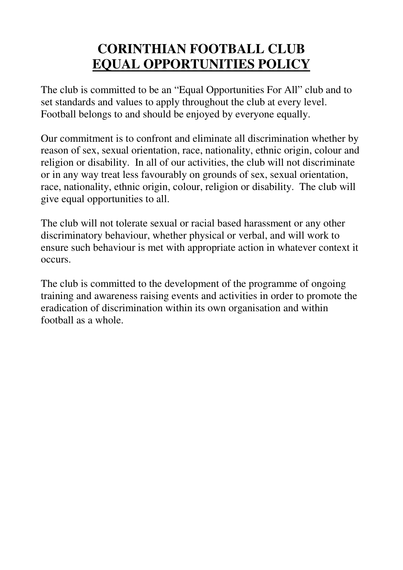### **CORINTHIAN FOOTBALL CLUB EQUAL OPPORTUNITIES POLICY**

The club is committed to be an "Equal Opportunities For All" club and to set standards and values to apply throughout the club at every level. Football belongs to and should be enjoyed by everyone equally.

Our commitment is to confront and eliminate all discrimination whether by reason of sex, sexual orientation, race, nationality, ethnic origin, colour and religion or disability. In all of our activities, the club will not discriminate or in any way treat less favourably on grounds of sex, sexual orientation, race, nationality, ethnic origin, colour, religion or disability. The club will give equal opportunities to all.

The club will not tolerate sexual or racial based harassment or any other discriminatory behaviour, whether physical or verbal, and will work to ensure such behaviour is met with appropriate action in whatever context it occurs.

The club is committed to the development of the programme of ongoing training and awareness raising events and activities in order to promote the eradication of discrimination within its own organisation and within football as a whole.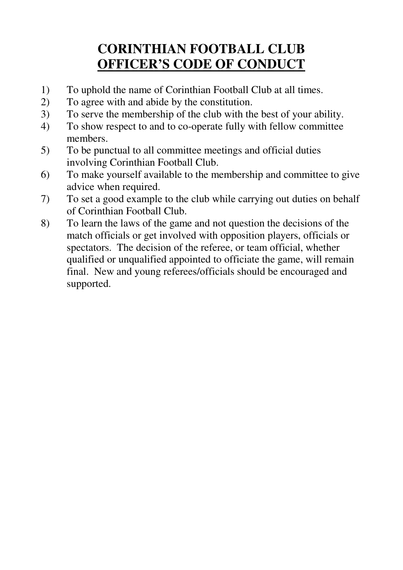# **CORINTHIAN FOOTBALL CLUB OFFICER'S CODE OF CONDUCT**

- 1) To uphold the name of Corinthian Football Club at all times.
- 2) To agree with and abide by the constitution.
- 3) To serve the membership of the club with the best of your ability.
- 4) To show respect to and to co-operate fully with fellow committee members.
- 5) To be punctual to all committee meetings and official duties involving Corinthian Football Club.
- 6) To make yourself available to the membership and committee to give advice when required.
- 7) To set a good example to the club while carrying out duties on behalf of Corinthian Football Club.
- 8) To learn the laws of the game and not question the decisions of the match officials or get involved with opposition players, officials or spectators. The decision of the referee, or team official, whether qualified or unqualified appointed to officiate the game, will remain final. New and young referees/officials should be encouraged and supported.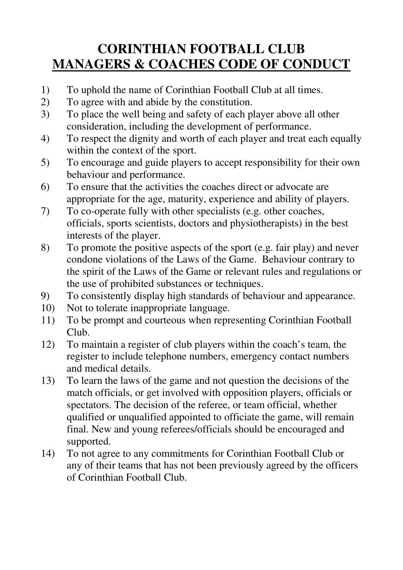## **CORINTHIAN FOOTBALL CLUB MANAGERS & COACHES CODE OF CONDUCT**

- 1) To uphold the name of Corinthian Football Club at all times.
- 2) To agree with and abide by the constitution.
- 3) To place the well being and safety of each player above all other consideration, including the development of performance.
- 4) To respect the dignity and worth of each player and treat each equally within the context of the sport.
- 5) To encourage and guide players to accept responsibility for their own behaviour and performance.
- 6) To ensure that the activities the coaches direct or advocate are appropriate for the age, maturity, experience and ability of players.
- 7) To co-operate fully with other specialists (e.g. other coaches, officials, sports scientists, doctors and physiotherapists) in the best interests of the player.
- 8) To promote the positive aspects of the sport (e.g. fair play) and never condone violations of the Laws of the Game. Behaviour contrary to the spirit of the Laws of the Game or relevant rules and regulations or the use of prohibited substances or techniques.
- 9) To consistently display high standards of behaviour and appearance.
- 10) Not to tolerate inappropriate language.
- 11) To be prompt and courteous when representing Corinthian Football Club.
- 12) To maintain a register of club players within the coach's team, the register to include telephone numbers, emergency contact numbers and medical details.
- 13) To learn the laws of the game and not question the decisions of the match officials, or get involved with opposition players, officials or spectators. The decision of the referee, or team official, whether qualified or unqualified appointed to officiate the game, will remain final. New and young referees/officials should be encouraged and supported.
- 14) To not agree to any commitments for Corinthian Football Club or any of their teams that has not been previously agreed by the officers of Corinthian Football Club.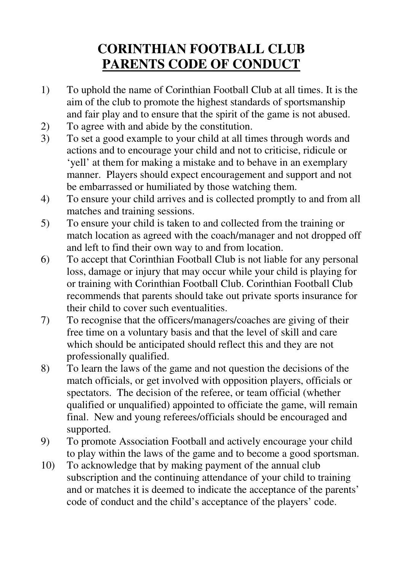# **CORINTHIAN FOOTBALL CLUB PARENTS CODE OF CONDUCT**

- 1) To uphold the name of Corinthian Football Club at all times. It is the aim of the club to promote the highest standards of sportsmanship and fair play and to ensure that the spirit of the game is not abused.
- 2) To agree with and abide by the constitution.<br>3) To set a good example to your child at all tin
- 3) To set a good example to your child at all times through words and actions and to encourage your child and not to criticise, ridicule or 'yell' at them for making a mistake and to behave in an exemplary manner. Players should expect encouragement and support and not be embarrassed or humiliated by those watching them.
- 4) To ensure your child arrives and is collected promptly to and from all matches and training sessions.
- 5) To ensure your child is taken to and collected from the training or match location as agreed with the coach/manager and not dropped off and left to find their own way to and from location.
- 6) To accept that Corinthian Football Club is not liable for any personal loss, damage or injury that may occur while your child is playing for or training with Corinthian Football Club. Corinthian Football Club recommends that parents should take out private sports insurance for their child to cover such eventualities.
- 7) To recognise that the officers/managers/coaches are giving of their free time on a voluntary basis and that the level of skill and care which should be anticipated should reflect this and they are not professionally qualified.
- 8) To learn the laws of the game and not question the decisions of the match officials, or get involved with opposition players, officials or spectators. The decision of the referee, or team official (whether qualified or unqualified) appointed to officiate the game, will remain final. New and young referees/officials should be encouraged and supported.
- 9) To promote Association Football and actively encourage your child to play within the laws of the game and to become a good sportsman.
- 10) To acknowledge that by making payment of the annual club subscription and the continuing attendance of your child to training and or matches it is deemed to indicate the acceptance of the parents' code of conduct and the child's acceptance of the players' code.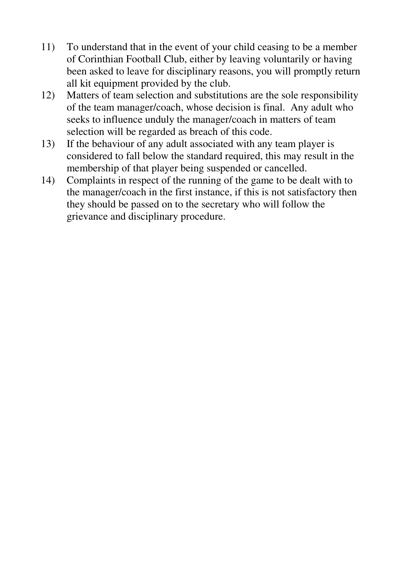- 11) To understand that in the event of your child ceasing to be a member of Corinthian Football Club, either by leaving voluntarily or having been asked to leave for disciplinary reasons, you will promptly return all kit equipment provided by the club.
- 12) Matters of team selection and substitutions are the sole responsibility of the team manager/coach, whose decision is final. Any adult who seeks to influence unduly the manager/coach in matters of team selection will be regarded as breach of this code.
- 13) If the behaviour of any adult associated with any team player is considered to fall below the standard required, this may result in the membership of that player being suspended or cancelled.
- 14) Complaints in respect of the running of the game to be dealt with to the manager/coach in the first instance, if this is not satisfactory then they should be passed on to the secretary who will follow the grievance and disciplinary procedure.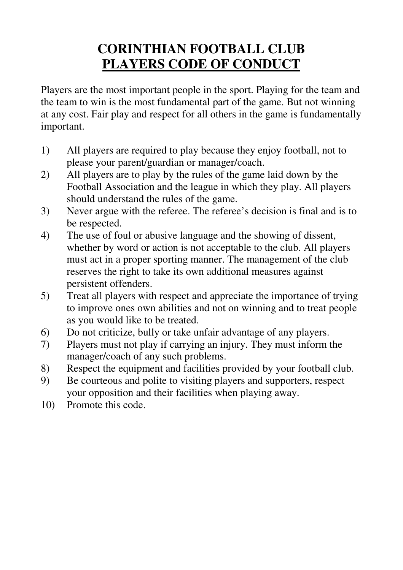# **CORINTHIAN FOOTBALL CLUB PLAYERS CODE OF CONDUCT**

Players are the most important people in the sport. Playing for the team and the team to win is the most fundamental part of the game. But not winning at any cost. Fair play and respect for all others in the game is fundamentally important.

- 1) All players are required to play because they enjoy football, not to please your parent/guardian or manager/coach.
- 2) All players are to play by the rules of the game laid down by the Football Association and the league in which they play. All players should understand the rules of the game.
- 3) Never argue with the referee. The referee's decision is final and is to be respected.
- 4) The use of foul or abusive language and the showing of dissent, whether by word or action is not acceptable to the club. All players must act in a proper sporting manner. The management of the club reserves the right to take its own additional measures against persistent offenders.
- 5) Treat all players with respect and appreciate the importance of trying to improve ones own abilities and not on winning and to treat people as you would like to be treated.
- 6) Do not criticize, bully or take unfair advantage of any players.
- 7) Players must not play if carrying an injury. They must inform the manager/coach of any such problems.
- 8) Respect the equipment and facilities provided by your football club.
- 9) Be courteous and polite to visiting players and supporters, respect your opposition and their facilities when playing away.
- 10) Promote this code.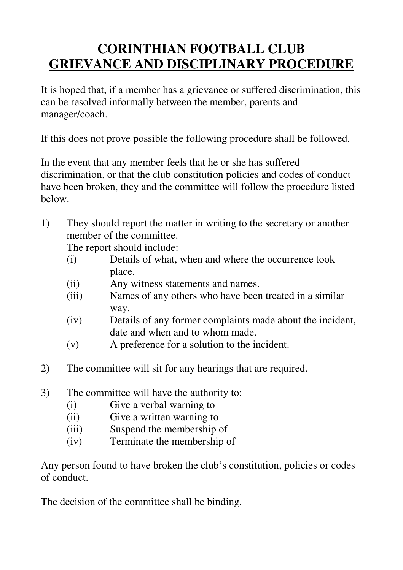# **CORINTHIAN FOOTBALL CLUB GRIEVANCE AND DISCIPLINARY PROCEDURE**

It is hoped that, if a member has a grievance or suffered discrimination, this can be resolved informally between the member, parents and manager/coach.

If this does not prove possible the following procedure shall be followed.

In the event that any member feels that he or she has suffered discrimination, or that the club constitution policies and codes of conduct have been broken, they and the committee will follow the procedure listed below.

1) They should report the matter in writing to the secretary or another member of the committee.

The report should include:

- (i) Details of what, when and where the occurrence took place.
- (ii) Any witness statements and names.
- (iii) Names of any others who have been treated in a similar way.
- (iv) Details of any former complaints made about the incident, date and when and to whom made.
- (v) A preference for a solution to the incident.
- 2) The committee will sit for any hearings that are required.
- 3) The committee will have the authority to:
	- (i) Give a verbal warning to
	- (ii) Give a written warning to
	- (iii) Suspend the membership of
	- (iv) Terminate the membership of

Any person found to have broken the club's constitution, policies or codes of conduct.

The decision of the committee shall be binding.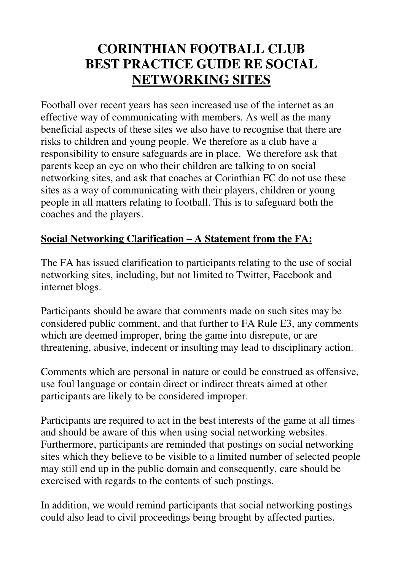### **CORINTHIAN FOOTBALL CLUB BEST PRACTICE GUIDE RE SOCIAL NETWORKING SITES**

Football over recent years has seen increased use of the internet as an effective way of communicating with members. As well as the many beneficial aspects of these sites we also have to recognise that there are risks to children and young people. We therefore as a club have a responsibility to ensure safeguards are in place. We therefore ask that parents keep an eye on who their children are talking to on social networking sites, and ask that coaches at Corinthian FC do not use these sites as a way of communicating with their players, children or young people in all matters relating to football. This is to safeguard both the coaches and the players.

### **Social Networking Clarification – A Statement from the FA:**

The FA has issued clarification to participants relating to the use of social networking sites, including, but not limited to Twitter, Facebook and internet blogs.

Participants should be aware that comments made on such sites may be considered public comment, and that further to FA Rule E3, any comments which are deemed improper, bring the game into disrepute, or are threatening, abusive, indecent or insulting may lead to disciplinary action.

Comments which are personal in nature or could be construed as offensive, use foul language or contain direct or indirect threats aimed at other participants are likely to be considered improper.

Participants are required to act in the best interests of the game at all times and should be aware of this when using social networking websites. Furthermore, participants are reminded that postings on social networking sites which they believe to be visible to a limited number of selected people may still end up in the public domain and consequently, care should be exercised with regards to the contents of such postings.

In addition, we would remind participants that social networking postings could also lead to civil proceedings being brought by affected parties.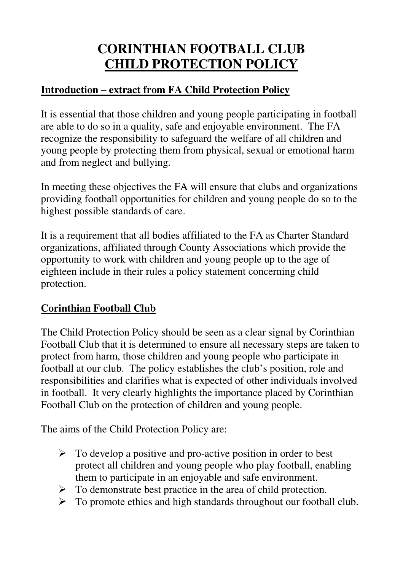# **CORINTHIAN FOOTBALL CLUB CHILD PROTECTION POLICY**

### **Introduction – extract from FA Child Protection Policy**

It is essential that those children and young people participating in football are able to do so in a quality, safe and enjoyable environment. The FA recognize the responsibility to safeguard the welfare of all children and young people by protecting them from physical, sexual or emotional harm and from neglect and bullying.

In meeting these objectives the FA will ensure that clubs and organizations providing football opportunities for children and young people do so to the highest possible standards of care.

It is a requirement that all bodies affiliated to the FA as Charter Standard organizations, affiliated through County Associations which provide the opportunity to work with children and young people up to the age of eighteen include in their rules a policy statement concerning child protection.

### **Corinthian Football Club**

The Child Protection Policy should be seen as a clear signal by Corinthian Football Club that it is determined to ensure all necessary steps are taken to protect from harm, those children and young people who participate in football at our club. The policy establishes the club's position, role and responsibilities and clarifies what is expected of other individuals involved in football. It very clearly highlights the importance placed by Corinthian Football Club on the protection of children and young people.

The aims of the Child Protection Policy are:

- $\triangleright$  To develop a positive and pro-active position in order to best protect all children and young people who play football, enabling them to participate in an enjoyable and safe environment.
- $\triangleright$  To demonstrate best practice in the area of child protection.
- $\triangleright$  To promote ethics and high standards throughout our football club.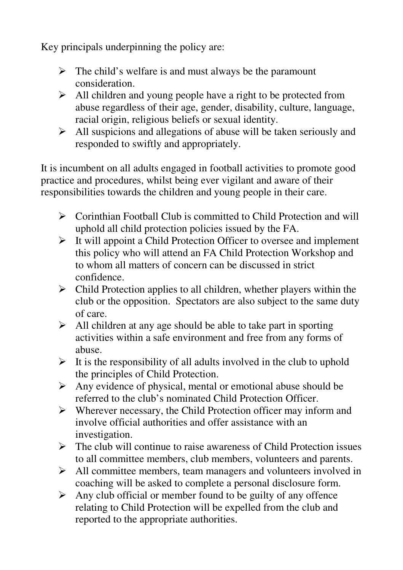Key principals underpinning the policy are:

- $\triangleright$  The child's welfare is and must always be the paramount consideration.
- $\triangleright$  All children and young people have a right to be protected from abuse regardless of their age, gender, disability, culture, language, racial origin, religious beliefs or sexual identity.
- $\triangleright$  All suspicions and allegations of abuse will be taken seriously and responded to swiftly and appropriately.

It is incumbent on all adults engaged in football activities to promote good practice and procedures, whilst being ever vigilant and aware of their responsibilities towards the children and young people in their care.

- $\triangleright$  Corinthian Football Club is committed to Child Protection and will uphold all child protection policies issued by the FA.
- $\triangleright$  It will appoint a Child Protection Officer to oversee and implement this policy who will attend an FA Child Protection Workshop and to whom all matters of concern can be discussed in strict confidence.
- $\triangleright$  Child Protection applies to all children, whether players within the club or the opposition. Spectators are also subject to the same duty of care.
- $\triangleright$  All children at any age should be able to take part in sporting activities within a safe environment and free from any forms of abuse.
- $\triangleright$  It is the responsibility of all adults involved in the club to uphold the principles of Child Protection.
- $\triangleright$  Any evidence of physical, mental or emotional abuse should be referred to the club's nominated Child Protection Officer.
- $\triangleright$  Wherever necessary, the Child Protection officer may inform and involve official authorities and offer assistance with an investigation.
- $\triangleright$  The club will continue to raise awareness of Child Protection issues to all committee members, club members, volunteers and parents.
- $\triangleright$  All committee members, team managers and volunteers involved in coaching will be asked to complete a personal disclosure form.
- $\triangleright$  Any club official or member found to be guilty of any offence relating to Child Protection will be expelled from the club and reported to the appropriate authorities.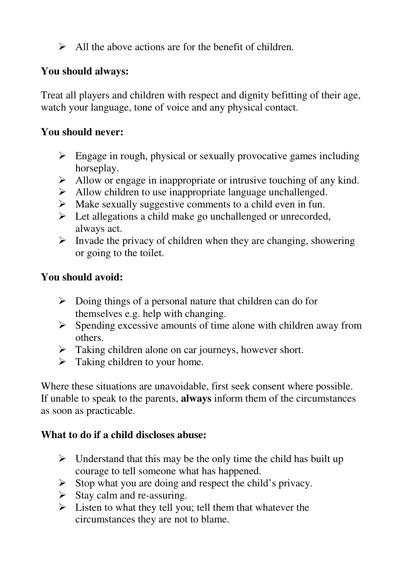$\triangleright$  All the above actions are for the benefit of children.

#### **You should always:**

Treat all players and children with respect and dignity befitting of their age, watch your language, tone of voice and any physical contact.

#### **You should never:**

- $\triangleright$  Engage in rough, physical or sexually provocative games including horseplay.
- $\triangleright$  Allow or engage in inappropriate or intrusive touching of any kind.
- $\triangleright$  Allow children to use inappropriate language unchallenged.
- $\triangleright$  Make sexually suggestive comments to a child even in fun.
- $\triangleright$  Let allegations a child make go unchallenged or unrecorded, always act.
- $\triangleright$  Invade the privacy of children when they are changing, showering or going to the toilet.

#### **You should avoid:**

- $\triangleright$  Doing things of a personal nature that children can do for themselves e.g. help with changing.
- $\triangleright$  Spending excessive amounts of time alone with children away from others.
- $\triangleright$  Taking children alone on car journeys, however short.
- $\triangleright$  Taking children to your home.

Where these situations are unavoidable, first seek consent where possible. If unable to speak to the parents, **always** inform them of the circumstances as soon as practicable.

#### **What to do if a child discloses abuse:**

- $\triangleright$  Understand that this may be the only time the child has built up courage to tell someone what has happened.
- $\triangleright$  Stop what you are doing and respect the child's privacy.
- $\triangleright$  Stay calm and re-assuring.
- $\triangleright$  Listen to what they tell you; tell them that whatever the circumstances they are not to blame.